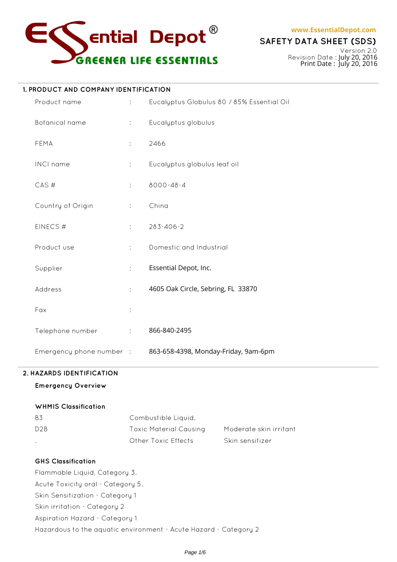

**www.EssentialDepot.com**

# **SAFETY DATA SHEET (SDS)**

Version 2.0 Revision Date : July 20, 2016 Print Date : July 20, 2016

#### **1. PRODUCT AND COMPANY IDENTIFICATION**

| Product name             | $\ddot{\phantom{a}}$       | Eucalyptus Globulus 80 / 85% Essential Oil |
|--------------------------|----------------------------|--------------------------------------------|
| Botanical name           | $\mathbb{R}^{n}$           | Eucalyptus globulus                        |
| FEMA                     | ÷.                         | 2466                                       |
| INCI name                | ÷.                         | Eucalyptus globulus leaf oil               |
| CAS#                     | ÷                          | 8000-48-4                                  |
| Country of Origin        | $\ddot{\cdot}$             | China                                      |
| EINECS#                  | ÷.                         | 283-406-2                                  |
| Product use              | $\ddot{\cdot}$             | Domestic and Industrial                    |
| Supplier                 | ÷                          | Essential Depot, Inc.                      |
| Address                  | ÷                          | 4605 Oak Circle, Sebring, FL 33870         |
| Fax                      | ÷                          |                                            |
| Telephone number         | $\mathcal{L}^{\text{max}}$ | 866-840-2495                               |
| Emergency phone number : |                            | 863-658-4398, Monday-Friday, 9am-6pm       |

# **2. HAZARDS IDENTIFICATION**

# **Emergency Overview**

# **WHMIS Classification**

| <b>B3</b>        | Combustible Liquid.    |                        |
|------------------|------------------------|------------------------|
| D <sub>2</sub> B | Toxic Material Causing | Moderate skin irritant |
|                  | Other Toxic Effects    | Skin sensitizer        |

# **GHS Classification**

Flammable Liquid, Category 3. Acute Toxicity oral - Category 5. Skin Sensitization - Category 1 Skin irritation - Category 2 Aspiration Hazard - Category 1 Hazardous to the aquatic environment - Acute Hazard - Category 2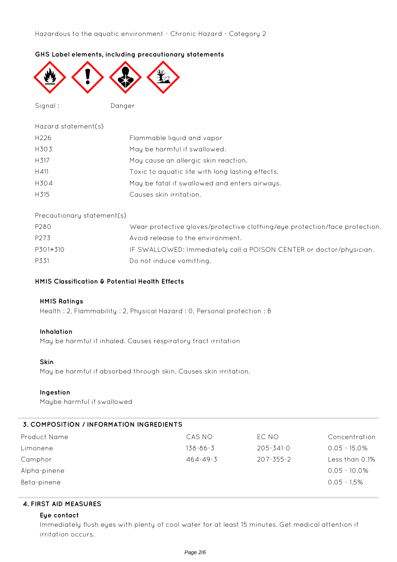# **GHS Label elements, including precautionary statements**



Signal : Danger

| Hazard statement(s) |                                                  |
|---------------------|--------------------------------------------------|
| H <sub>226</sub>    | Flammable liquid and vapor                       |
| H303                | May be harmful if swallowed.                     |
| H317                | May cause an allergic skin reaction.             |
| H411                | Toxic to aquatic life with long lasting effects. |
| H304                | May be fatal if swallowed and enters airways.    |
| H <sub>315</sub>    | Causes skin irritation.                          |
|                     |                                                  |

#### Precautionary statement(s)

| P280     | Wear protective gloves/protective clothing/eye protection/face protection. |
|----------|----------------------------------------------------------------------------|
| P273     | Avoid release to the environment.                                          |
| P301+310 | IF SWALLOWED: Immediately call a POISON CENTER or doctor/physician.        |
| P331     | Do not induce vomitting.                                                   |

# **HMIS Classification & Potential Health Effects**

#### **HMIS Ratings**

Health : 2, Flammability : 2, Physical Hazard : 0, Personal protection : B

#### **Inhalation**

May be harmful if inhaled. Causes respiratory tract irritation

#### **Skin**

May be harmful if absorbed through skin. Causes skin irritation.

#### **Ingestion**

Maybe harmful if swallowed

# **3. COMPOSITION / INFORMATION INGREDIENTS**

| Product Name | CAS NO         | EC NO           | Concentration   |
|--------------|----------------|-----------------|-----------------|
| Limonene     | $138 - 86 - 3$ | 205-341-0       | $0.05 - 15.0\%$ |
| Camphor      | $464 - 49 - 3$ | $207 - 355 - 2$ | Less than 0.1%  |
| Alpha-pinene |                |                 | $0.05 - 10.0\%$ |
| Beta-pinene  |                |                 | $0.05 - 1.5\%$  |
|              |                |                 |                 |

# **4. FIRST AID MEASURES**

#### **Eye contact**

Immediately flush eyes with plenty of cool water for at least 15 minutes. Get medical attention if irritation occurs.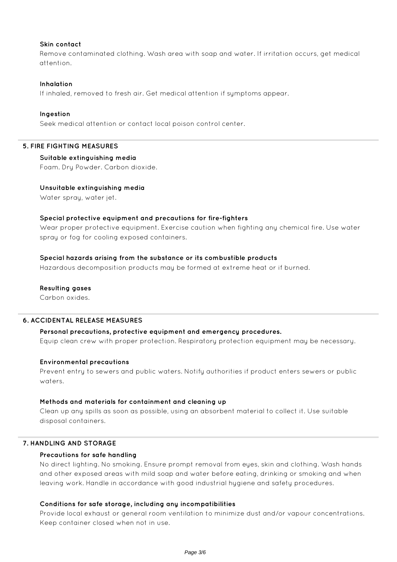#### **Skin contact**

Remove contaminated clothing. Wash area with soap and water. If irritation occurs, get medical attention.

### **Inhalation**

If inhaled, removed to fresh air. Get medical attention if symptoms appear.

#### **Ingestion**

Seek medical attention or contact local poison control center.

#### **5. FIRE FIGHTING MEASURES**

#### **Suitable extinguishing media**

Foam. Dry Powder. Carbon dioxide.

# **Unsuitable extinguishing media**

Water spray, water jet.

#### **Special protective equipment and precautions for fire-fighters**

Wear proper protective equipment. Exercise caution when fighting any chemical fire. Use water spray or fog for cooling exposed containers.

#### **Special hazards arising from the substance or its combustible products**

Hazardous decomposition products may be formed at extreme heat or if burned.

#### **Resulting gases**

Carbon oxides.

#### **6. ACCIDENTAL RELEASE MEASURES**

#### **Personal precautions, protective equipment and emergency procedures.**

Equip clean crew with proper protection. Respiratory protection equipment may be necessary.

# **Environmental precautions**

Prevent entry to sewers and public waters. Notify authorities if product enters sewers or public waters.

#### **Methods and materials for containment and cleaning up**

Clean up any spills as soon as possible, using an absorbent material to collect it. Use suitable disposal containers.

# **7. HANDLING AND STORAGE**

#### **Precautions for safe handling**

No direct lighting. No smoking. Ensure prompt removal from eyes, skin and clothing. Wash hands and other exposed areas with mild soap and water before eating, drinking or smoking and when leaving work. Handle in accordance with good industrial hygiene and safety procedures.

#### **Conditions for safe storage, including any incompatibilities**

Provide local exhaust or general room ventilation to minimize dust and/or vapour concentrations. Keep container closed when not in use.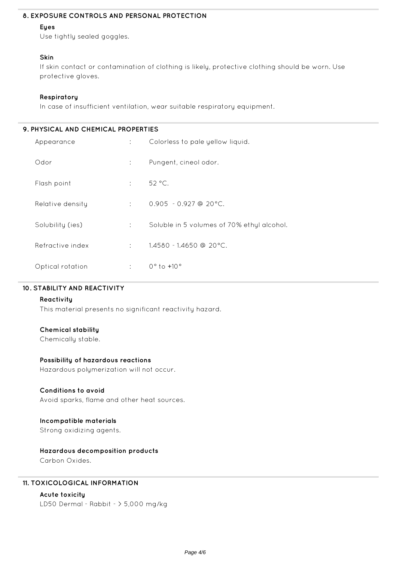# **8. EXPOSURE CONTROLS AND PERSONAL PROTECTION**

# **Eyes**

Use tightly sealed goggles.

# **Skin**

If skin contact or contamination of clothing is likely, protective clothing should be worn. Use protective gloves.

# **Respiratory**

In case of insufficient ventilation, wear suitable respiratory equipment.

| 9. PHYSICAL AND CHEMICAL PROPERTIES |                      |                                            |  |
|-------------------------------------|----------------------|--------------------------------------------|--|
| Appearance                          | $\mathcal{L}$        | Colorless to pale yellow liquid.           |  |
| Odor                                | ÷.                   | Pungent, cineol odor.                      |  |
| Flash point                         | ÷                    | 52 °C.                                     |  |
| Relative density                    | $1 - 1 - 1$          | $0.905 - 0.927$ @ 20 °C.                   |  |
| Solubility (ies)                    | $\ddot{\phantom{a}}$ | Soluble in 5 volumes of 70% ethyl alcohol. |  |
| Refractive index                    | ÷                    | $1.4580 - 1.4650$ @ 20 °C.                 |  |
| Optical rotation                    | ÷                    | $0^{\circ}$ to $+10^{\circ}$               |  |

# **10. STABILITY AND REACTIVITY**

# **Reactivity**

This material presents no significant reactivity hazard.

# **Chemical stability**

Chemically stable.

# **Possibility of hazardous reactions**

Hazardous polymerization will not occur.

# **Conditions to avoid**

Avoid sparks, flame and other heat sources.

# **Incompatible materials**

Strong oxidizing agents.

# **Hazardous decomposition products**

Carbon Oxides.

# **11. TOXICOLOGICAL INFORMATION**

# **Acute toxicity**

LD50 Dermal - Rabbit - > 5,000 mg/kg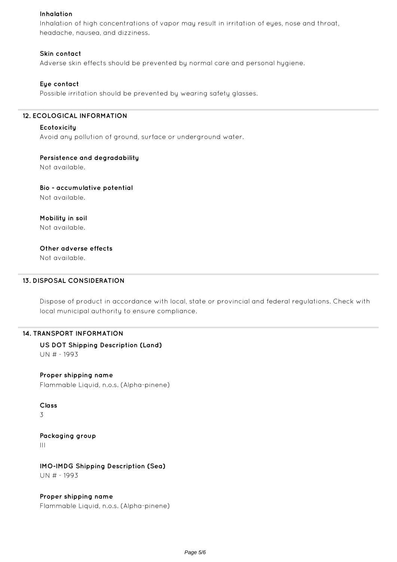#### **Inhalation**

Inhalation of high concentrations of vapor may result in irritation of eyes, nose and throat, headache, nausea, and dizziness.

#### **Skin contact**

Adverse skin effects should be prevented by normal care and personal hygiene.

#### **Eye contact**

Possible irritation should be prevented by wearing safety glasses.

#### **12. ECOLOGICAL INFORMATION**

#### **Ecotoxicity**

Avoid any pollution of ground, surface or underground water.

#### **Persistence and degradability**

Not available.

**Bio - accumulative potential** Not available.

**Mobility in soil** Not available.

# **Other adverse effects**

Not available.

#### **13. DISPOSAL CONSIDERATION**

Dispose of product in accordance with local, state or provincial and federal regulations. Check with local municipal authority to ensure compliance.

#### **14. TRANSPORT INFORMATION**

**US DOT Shipping Description (Land)** UN # - 1993

# **Proper shipping name**

Flammable Liquid, n.o.s. (Alpha-pinene)

#### **Class**

3

**Packaging group** III

**IMO-IMDG Shipping Description (Sea)** UN # - 1993

**Proper shipping name** Flammable Liquid, n.o.s. (Alpha-pinene)